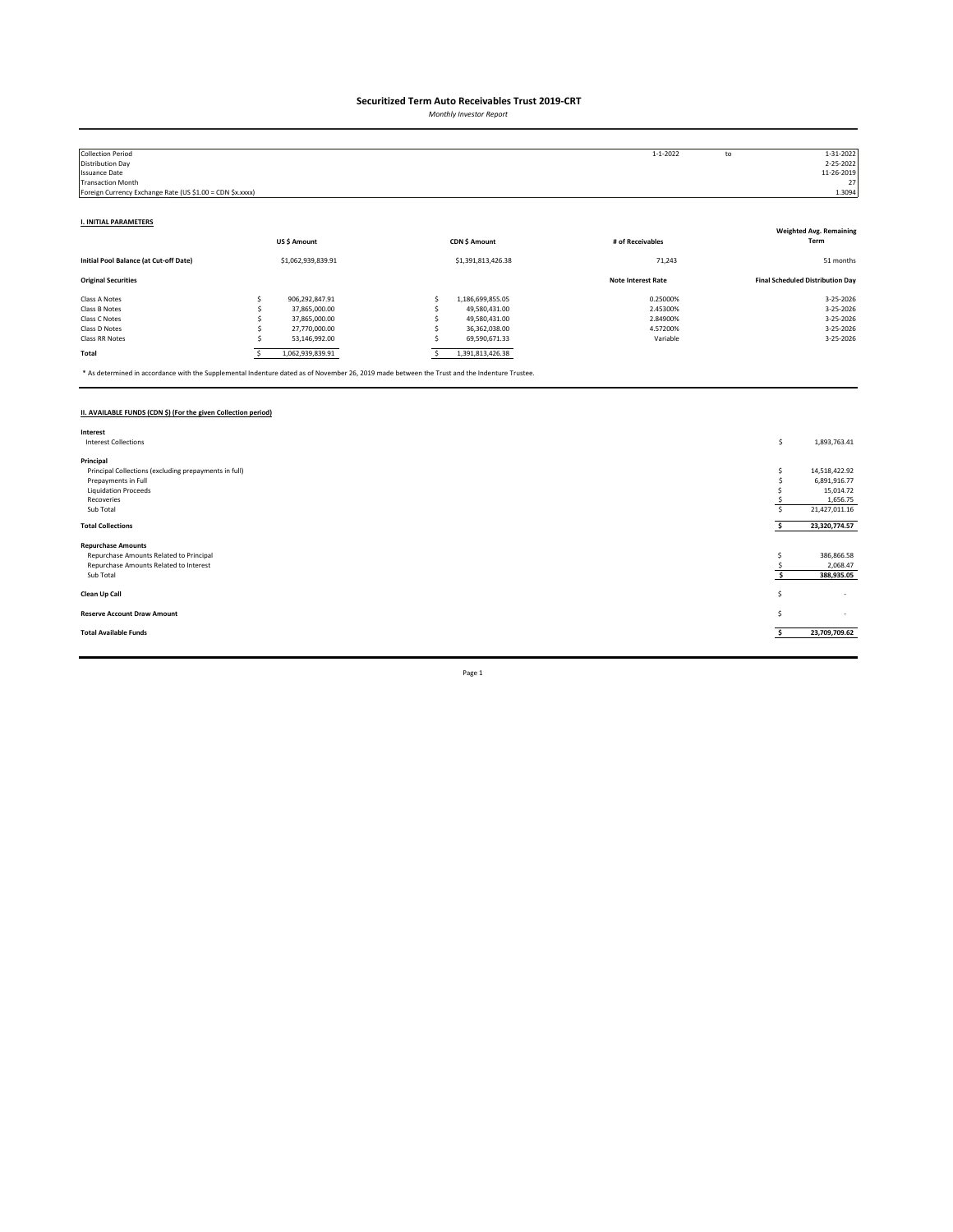*Monthly Investor Report*

| <b>Collection Period</b>                                  |   |                    |                    | $1 - 1 - 2022$            | to | 1-31-2022                               |
|-----------------------------------------------------------|---|--------------------|--------------------|---------------------------|----|-----------------------------------------|
| Distribution Day                                          |   |                    |                    |                           |    | 2-25-2022                               |
| <b>Issuance Date</b>                                      |   |                    |                    |                           |    | 11-26-2019                              |
| <b>Transaction Month</b>                                  |   |                    |                    |                           |    | 27                                      |
| Foreign Currency Exchange Rate (US \$1.00 = CDN \$x.xxxx) |   |                    |                    |                           |    | 1.3094                                  |
|                                                           |   |                    |                    |                           |    |                                         |
| <b>I. INITIAL PARAMETERS</b>                              |   |                    |                    |                           |    |                                         |
|                                                           |   |                    |                    |                           |    | <b>Weighted Avg. Remaining</b>          |
|                                                           |   | US\$ Amount        | CDN \$ Amount      | # of Receivables          |    | Term                                    |
| Initial Pool Balance (at Cut-off Date)                    |   | \$1,062,939,839.91 | \$1,391,813,426.38 | 71,243                    |    | 51 months                               |
| <b>Original Securities</b>                                |   |                    |                    | <b>Note Interest Rate</b> |    | <b>Final Scheduled Distribution Day</b> |
| Class A Notes                                             |   | 906,292,847.91     | 1,186,699,855.05   | 0.25000%                  |    | 3-25-2026                               |
| Class B Notes                                             |   | 37,865,000.00      | 49,580,431.00      | 2.45300%                  |    | 3-25-2026                               |
| Class C Notes                                             |   | 37,865,000.00      | 49,580,431.00      | 2.84900%                  |    | 3-25-2026                               |
| Class D Notes                                             |   | 27,770,000.00      | 36,362,038.00      | 4.57200%                  |    | 3-25-2026                               |
| Class RR Notes                                            |   | 53,146,992.00      | 69,590,671.33      | Variable                  |    | 3-25-2026                               |
| Total                                                     | s | 1,062,939,839.91   | 1,391,813,426.38   |                           |    |                                         |

\* As determined in accordance with the Supplemental Indenture dated as of November 26, 2019 made between the Trust and the Indenture Trustee.

### **II. AVAILABLE FUNDS (CDN \$) (For the given Collection period)**

| Interest                                              |    |                          |
|-------------------------------------------------------|----|--------------------------|
| <b>Interest Collections</b>                           | \$ | 1,893,763.41             |
|                                                       |    |                          |
| Principal                                             |    |                          |
| Principal Collections (excluding prepayments in full) |    | 14,518,422.92            |
| Prepayments in Full                                   |    | 6,891,916.77             |
| <b>Liquidation Proceeds</b>                           |    | 15,014.72                |
| Recoveries                                            |    | 1,656.75                 |
| Sub Total                                             |    | 21,427,011.16            |
| <b>Total Collections</b>                              |    | 23,320,774.57            |
|                                                       |    |                          |
| <b>Repurchase Amounts</b>                             |    |                          |
| Repurchase Amounts Related to Principal               |    | 386,866.58               |
| Repurchase Amounts Related to Interest                |    | 2,068.47                 |
| Sub Total                                             |    | 388,935.05               |
|                                                       |    |                          |
| Clean Up Call                                         | s  | $\overline{\phantom{a}}$ |
|                                                       |    |                          |
| <b>Reserve Account Draw Amount</b>                    | S  | $\sim$                   |
|                                                       |    |                          |
| <b>Total Available Funds</b>                          |    | 23,709,709.62            |
|                                                       |    |                          |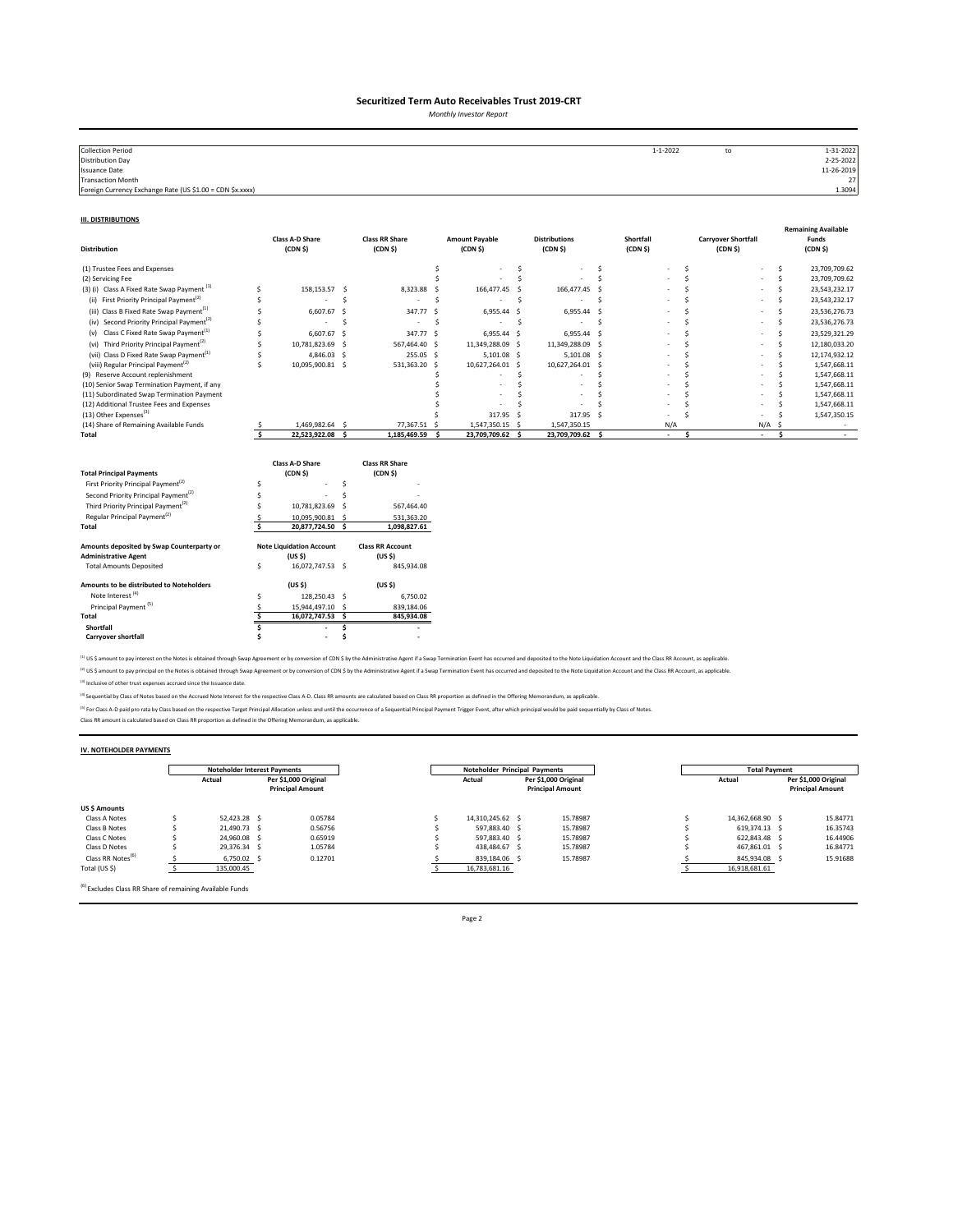*Monthly Investor Report*

| <b>Collection Period</b>                                  | $1 - 1 - 2022$ | to | 1-31-2022  |
|-----------------------------------------------------------|----------------|----|------------|
| <b>Distribution Day</b>                                   |                |    | 2-25-2022  |
| <b>Issuance Date</b>                                      |                |    | 11-26-2019 |
| <b>Transaction Month</b>                                  |                |    | 27         |
| Foreign Currency Exchange Rate (US \$1.00 = CDN \$x.xxxx) |                |    | 1.3094     |

#### **III. DISTRIBUTIONS**

| <b>Distribution</b>                                                                                                                                                                                                                                                                         |         | <b>Class A-D Share</b><br>(CDN <sub>5</sub> )                                                                                          |                    | <b>Class RR Share</b><br>(CDN <sub>5</sub> )                                                                        |            | <b>Amount Payable</b><br>(CDN <sub>5</sub> ) |    | <b>Distributions</b><br>(CDN <sub>5</sub> ) |     | Shortfall<br>(CDN <sub>5</sub> ) |     | <b>Carryover Shortfall</b><br>(CDN <sub>5</sub> ) |              | <b>Remaining Available</b><br>Funds<br>(CDN <sub>5</sub> ) |
|---------------------------------------------------------------------------------------------------------------------------------------------------------------------------------------------------------------------------------------------------------------------------------------------|---------|----------------------------------------------------------------------------------------------------------------------------------------|--------------------|---------------------------------------------------------------------------------------------------------------------|------------|----------------------------------------------|----|---------------------------------------------|-----|----------------------------------|-----|---------------------------------------------------|--------------|------------------------------------------------------------|
| (1) Trustee Fees and Expenses                                                                                                                                                                                                                                                               |         |                                                                                                                                        |                    |                                                                                                                     | \$         |                                              | Ŝ  |                                             | s   |                                  | Ŝ   |                                                   | s            | 23,709,709.62                                              |
| (2) Servicing Fee                                                                                                                                                                                                                                                                           |         |                                                                                                                                        |                    |                                                                                                                     |            |                                              | Ś  |                                             | \$. |                                  | Ś   |                                                   | Ś            | 23,709,709.62                                              |
| (3) (i) Class A Fixed Rate Swap Payment <sup>(1)</sup>                                                                                                                                                                                                                                      | Ś       | 158,153.57                                                                                                                             | -S                 | 8,323.88                                                                                                            | .S         | 166,477.45                                   |    | 166,477.45 \$                               |     |                                  |     |                                                   | Š.           | 23,543,232.17                                              |
| (ii) First Priority Principal Payment <sup>(2)</sup>                                                                                                                                                                                                                                        | Ś       |                                                                                                                                        | Ś                  |                                                                                                                     | Ś          |                                              | Ś  |                                             | \$. |                                  |     |                                                   | Ś            | 23,543,232.17                                              |
| (iii) Class B Fixed Rate Swap Payment <sup>(1)</sup>                                                                                                                                                                                                                                        |         | 6,607.67                                                                                                                               | <b>S</b>           | 347.77                                                                                                              | s.         | 6,955.44 \$                                  |    | 6,955.44 \$                                 |     |                                  |     |                                                   | Ś            | 23,536,276.73                                              |
| (iv) Second Priority Principal Payment <sup>(2)</sup>                                                                                                                                                                                                                                       |         |                                                                                                                                        | Ś                  | ٠                                                                                                                   | Š.         |                                              | \$ |                                             | Ŝ.  |                                  |     |                                                   | Ś            | 23,536,276.73                                              |
| Class C Fixed Rate Swap Payment <sup>(1)</sup><br>(v)                                                                                                                                                                                                                                       |         | 6,607.67                                                                                                                               | -S                 | 347.77 \$                                                                                                           |            | 6,955.44 \$                                  |    | 6,955.44 \$                                 |     |                                  |     |                                                   | Ś            | 23,529,321.29                                              |
| (vi) Third Priority Principal Payment <sup>(2)</sup>                                                                                                                                                                                                                                        |         | 10,781,823.69                                                                                                                          | -S                 | 567,464.40 \$                                                                                                       |            | 11,349,288.09 \$                             |    | 11,349,288.09 \$                            |     |                                  | Ś   |                                                   | Ś            | 12,180,033.20                                              |
| (vii) Class D Fixed Rate Swap Payment <sup>(1)</sup>                                                                                                                                                                                                                                        |         | 4,846.03 \$                                                                                                                            |                    | 255.05 \$                                                                                                           |            | 5,101.08 \$                                  |    | $5,101.08$ \$                               |     |                                  |     |                                                   | Š.           | 12,174,932.12                                              |
| (viii) Regular Principal Payment <sup>(2)</sup>                                                                                                                                                                                                                                             | Ś       | 10,095,900.81 \$                                                                                                                       |                    | 531,363.20                                                                                                          | s.         | 10,627,264.01 \$                             |    | 10,627,264.01 \$                            |     |                                  |     |                                                   | <sup>s</sup> | 1,547,668.11                                               |
| (9) Reserve Account replenishment                                                                                                                                                                                                                                                           |         |                                                                                                                                        |                    |                                                                                                                     |            |                                              | Ś  |                                             |     |                                  |     |                                                   |              | 1,547,668.11                                               |
| (10) Senior Swap Termination Payment, if any                                                                                                                                                                                                                                                |         |                                                                                                                                        |                    |                                                                                                                     |            |                                              |    |                                             |     |                                  |     |                                                   |              | 1,547,668.11                                               |
| (11) Subordinated Swap Termination Payment                                                                                                                                                                                                                                                  |         |                                                                                                                                        |                    |                                                                                                                     |            |                                              |    |                                             |     |                                  |     |                                                   |              | 1,547,668.11                                               |
| (12) Additional Trustee Fees and Expenses<br>(13) Other Expenses <sup>(3)</sup>                                                                                                                                                                                                             |         |                                                                                                                                        |                    |                                                                                                                     |            |                                              |    |                                             |     |                                  |     |                                                   |              | 1,547,668.11                                               |
| (14) Share of Remaining Available Funds                                                                                                                                                                                                                                                     |         |                                                                                                                                        |                    | 77,367.51                                                                                                           |            | 317.95<br>1,547,350.15 \$                    | -S | 317.95 S                                    |     |                                  |     |                                                   | S            | 1,547,350.15                                               |
| Total                                                                                                                                                                                                                                                                                       |         | 1,469,982.64 \$<br>22,523,922.08 \$                                                                                                    |                    | 1,185,469.59                                                                                                        | - S<br>- Ś | 23,709,709.62 \$                             |    | 1,547,350.15<br>23,709,709.62 \$            |     | N/A<br>$\sim$                    | \$. | N/A<br>$\sim$                                     | \$.          | $\sim$                                                     |
| <b>Total Principal Payments</b><br>First Priority Principal Payment <sup>(2)</sup><br>Second Priority Principal Payment <sup>(2)</sup><br>Third Priority Principal Payment <sup>(2)</sup><br>Regular Principal Payment <sup>(2)</sup><br>Total<br>Amounts deposited by Swap Counterparty or | Ś<br>Š. | <b>Class A-D Share</b><br>(CDN <sub>5</sub> )<br>10,781,823.69<br>10,095,900.81 \$<br>20,877,724.50<br><b>Note Liquidation Account</b> | Ś<br>Ś<br>-S<br>-Ś | <b>Class RR Share</b><br>(CDN <sub>5</sub> )<br>567,464.40<br>531,363.20<br>1,098,827.61<br><b>Class RR Account</b> |            |                                              |    |                                             |     |                                  |     |                                                   |              |                                                            |
| <b>Administrative Agent</b>                                                                                                                                                                                                                                                                 |         | (US <sub>5</sub> )                                                                                                                     |                    | (US <sub>5</sub> )                                                                                                  |            |                                              |    |                                             |     |                                  |     |                                                   |              |                                                            |
| <b>Total Amounts Deposited</b>                                                                                                                                                                                                                                                              | \$      | 16,072,747.53 \$                                                                                                                       |                    | 845,934.08                                                                                                          |            |                                              |    |                                             |     |                                  |     |                                                   |              |                                                            |
| Amounts to be distributed to Noteholders                                                                                                                                                                                                                                                    |         | (US S)                                                                                                                                 |                    | (US S)                                                                                                              |            |                                              |    |                                             |     |                                  |     |                                                   |              |                                                            |
| Note Interest <sup>(4)</sup>                                                                                                                                                                                                                                                                | Ś       | 128,250.43 \$                                                                                                                          |                    | 6,750.02                                                                                                            |            |                                              |    |                                             |     |                                  |     |                                                   |              |                                                            |
| Principal Payment <sup>(5)</sup>                                                                                                                                                                                                                                                            | S       | 15,944,497.10 \$                                                                                                                       |                    | 839,184.06                                                                                                          |            |                                              |    |                                             |     |                                  |     |                                                   |              |                                                            |
| Total                                                                                                                                                                                                                                                                                       | Ś       | 16,072,747.53 \$                                                                                                                       |                    | 845,934.08                                                                                                          |            |                                              |    |                                             |     |                                  |     |                                                   |              |                                                            |
| Shortfall                                                                                                                                                                                                                                                                                   |         |                                                                                                                                        | Ś                  |                                                                                                                     |            |                                              |    |                                             |     |                                  |     |                                                   |              |                                                            |
| Carryover shortfall                                                                                                                                                                                                                                                                         |         | ٠                                                                                                                                      |                    |                                                                                                                     |            |                                              |    |                                             |     |                                  |     |                                                   |              |                                                            |

<sup>(1)</sup> US \$ amount to pay interest on the Notes is obtained through Swap Agreement or by conversion of CDN \$ by the Administrative Agent if a Swap Termination Event has occurred and deposited to the Note Liquidation Account <sup>(2)</sup> US \$ amount to pay principal on the Notes is obtained through Swap Agreement or by conversion of CDN \$ by the Administrative Agent if a Swap Termination Event has occurred and deposited to the Note Liquidation Accoun

(3) Inclusive of other trust expenses accrued since the Issuance date.

<sup>(4)</sup> Sequential by Class of Notes based on the Accrued Note Interest for the respective Class A-D. Class RR amounts are calculated based on Class RR proportion as defined in the Offering Memorandum, as applicable.

<sup>P)</sup> For Class A-D paid pro rata by Class based on the respective Target Principal Allocation unless and until the occurrence of a Sequential Principal Payment Trigger Event, after which principal would be paid sequentiall

#### **IV. NOTEHOLDER PAYMENTS**

|                               | <b>Noteholder Interest Payments</b> |                                                 |         | <b>Noteholder Principal Payments</b> |                                                 | <b>Total Payment</b> |                                                 |
|-------------------------------|-------------------------------------|-------------------------------------------------|---------|--------------------------------------|-------------------------------------------------|----------------------|-------------------------------------------------|
|                               | Actual                              | Per \$1.000 Original<br><b>Principal Amount</b> |         | Actual                               | Per \$1.000 Original<br><b>Principal Amount</b> | Actual               | Per \$1.000 Original<br><b>Principal Amount</b> |
| US \$ Amounts                 |                                     |                                                 |         |                                      |                                                 |                      |                                                 |
| Class A Notes                 | 52.423.28 \$                        |                                                 | 0.05784 | 14.310.245.62 \$                     | 15.78987                                        | 14.362.668.90 \$     | 15,84771                                        |
| Class B Notes                 | 21.490.73 S                         |                                                 | 0.56756 | 597.883.40 S                         | 15.78987                                        | 619.374.13 \$        | 16.35743                                        |
| Class C Notes                 | 24.960.08 \$                        |                                                 | 0.65919 | 597.883.40 \$                        | 15.78987                                        | 622.843.48 \$        | 16,44906                                        |
| Class D Notes                 | 29,376.34 \$                        |                                                 | 1.05784 | 438.484.67 \$                        | 15.78987                                        | 467.861.01 \$        | 16,84771                                        |
| Class RR Notes <sup>(6)</sup> | 6.750.02 \$                         |                                                 | 0.12701 | 839.184.06 \$                        | 15.78987                                        | 845.934.08 \$        | 15.91688                                        |
| Total (US \$)                 | 135,000.45                          |                                                 |         | 16,783,681.16                        |                                                 | 16,918,681.61        |                                                 |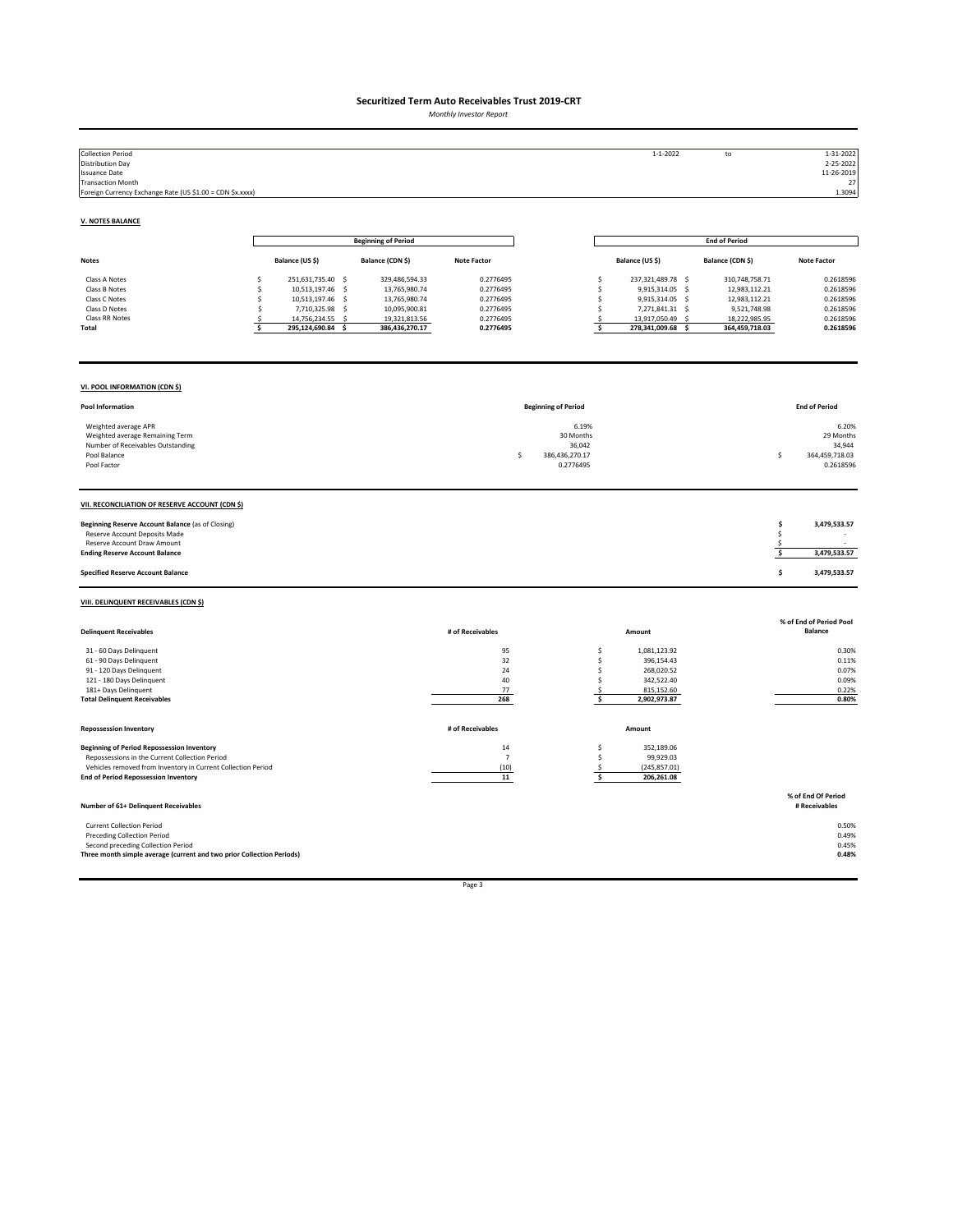*Monthly Investor Report*

| <b>Collection Period</b><br><b>Distribution Day</b><br><b>Issuance Date</b><br><b>Transaction Month</b><br>Foreign Currency Exchange Rate (US \$1.00 = CDN \$x.xxxx)                                               |                                                                                                                                                                        |                                                                                                      |                                                                            |                                                                  | $1 - 1 - 2022$                                                                                                                                       | to                                                                                                          | 1-31-2022<br>2-25-2022<br>11-26-2019<br>27<br>1.3094                       |
|--------------------------------------------------------------------------------------------------------------------------------------------------------------------------------------------------------------------|------------------------------------------------------------------------------------------------------------------------------------------------------------------------|------------------------------------------------------------------------------------------------------|----------------------------------------------------------------------------|------------------------------------------------------------------|------------------------------------------------------------------------------------------------------------------------------------------------------|-------------------------------------------------------------------------------------------------------------|----------------------------------------------------------------------------|
| <b>V. NOTES BALANCE</b>                                                                                                                                                                                            |                                                                                                                                                                        |                                                                                                      |                                                                            |                                                                  |                                                                                                                                                      |                                                                                                             |                                                                            |
|                                                                                                                                                                                                                    |                                                                                                                                                                        | <b>Beginning of Period</b>                                                                           |                                                                            |                                                                  |                                                                                                                                                      | <b>End of Period</b>                                                                                        |                                                                            |
| <b>Notes</b>                                                                                                                                                                                                       | Balance (US \$)                                                                                                                                                        | Balance (CDN \$)                                                                                     | <b>Note Factor</b>                                                         |                                                                  | Balance (US \$)                                                                                                                                      | Balance (CDN \$)                                                                                            | <b>Note Factor</b>                                                         |
| Class A Notes<br>Class B Notes<br>Class C Notes<br>Class D Notes<br>Class RR Notes<br>Total                                                                                                                        | 251,631,735.40 \$<br>\$<br>10,513,197.46<br>s.<br><b>s</b><br>10,513,197.46<br>-S<br>s<br>7,710,325.98 \$<br>\$<br>14,756,234.55<br>-S<br>Ŝ<br>\$<br>295,124,690.84 \$ | 329,486,594.33<br>13,765,980.74<br>13,765,980.74<br>10,095,900.81<br>19,321,813.56<br>386,436,270.17 | 0.2776495<br>0.2776495<br>0.2776495<br>0.2776495<br>0.2776495<br>0.2776495 |                                                                  | 237,321,489.78 \$<br>\$<br>9,915,314.05 \$<br>\$<br>9,915,314.05 \$<br>\$<br>7,271,841.31 \$<br>\$<br>13,917,050.49<br>\$<br>\$<br>278,341,009.68 \$ | 310,748,758.71<br>12,983,112.21<br>12,983,112.21<br>9,521,748.98<br>18,222,985.95<br>- \$<br>364,459,718.03 | 0.2618596<br>0.2618596<br>0.2618596<br>0.2618596<br>0.2618596<br>0.2618596 |
| VI. POOL INFORMATION (CDN \$)                                                                                                                                                                                      |                                                                                                                                                                        |                                                                                                      |                                                                            |                                                                  |                                                                                                                                                      |                                                                                                             |                                                                            |
| Pool Information                                                                                                                                                                                                   |                                                                                                                                                                        |                                                                                                      |                                                                            | <b>Beginning of Period</b>                                       |                                                                                                                                                      |                                                                                                             | <b>End of Period</b>                                                       |
| Weighted average APR<br>Weighted average Remaining Term<br>Number of Receivables Outstanding<br>Pool Balance<br>Pool Factor                                                                                        |                                                                                                                                                                        |                                                                                                      |                                                                            | 6.19%<br>30 Months<br>36,042<br>Ś<br>386,436,270.17<br>0.2776495 |                                                                                                                                                      |                                                                                                             | 6.20%<br>29 Months<br>34,944<br>364,459,718.03<br>Ś<br>0.2618596           |
| VII. RECONCILIATION OF RESERVE ACCOUNT (CDN \$)                                                                                                                                                                    |                                                                                                                                                                        |                                                                                                      |                                                                            |                                                                  |                                                                                                                                                      |                                                                                                             |                                                                            |
| Beginning Reserve Account Balance (as of Closing)<br>Reserve Account Deposits Made<br>Reserve Account Draw Amount<br><b>Ending Reserve Account Balance</b>                                                         |                                                                                                                                                                        |                                                                                                      |                                                                            |                                                                  |                                                                                                                                                      |                                                                                                             | \$<br>3,479,533.57<br>\$<br>-\$<br>-\$<br>3,479,533.57                     |
| <b>Specified Reserve Account Balance</b>                                                                                                                                                                           |                                                                                                                                                                        |                                                                                                      |                                                                            |                                                                  |                                                                                                                                                      |                                                                                                             | \$<br>3,479,533.57                                                         |
| VIII. DELINQUENT RECEIVABLES (CDN \$)                                                                                                                                                                              |                                                                                                                                                                        |                                                                                                      |                                                                            |                                                                  |                                                                                                                                                      |                                                                                                             |                                                                            |
| <b>Delinquent Receivables</b>                                                                                                                                                                                      |                                                                                                                                                                        |                                                                                                      | # of Receivables                                                           |                                                                  | Amount                                                                                                                                               |                                                                                                             | % of End of Period Pool<br><b>Balance</b>                                  |
| 31 - 60 Days Delinquent<br>61 - 90 Days Delinquent<br>91 - 120 Days Delinquent<br>121 - 180 Days Delinquent<br>181+ Days Delinquent<br><b>Total Delinquent Receivables</b>                                         |                                                                                                                                                                        |                                                                                                      | 95<br>32<br>24<br>40<br>77<br>268                                          |                                                                  | 1,081,123.92<br>\$<br>\$<br>396,154.43<br>\$<br>268,020.52<br>\$<br>342,522.40<br>\$<br>815,152.60<br>\$<br>2,902,973.87                             |                                                                                                             | 0.30%<br>0.11%<br>0.07%<br>0.09%<br>0.22%<br>0.80%                         |
| <b>Repossession Inventory</b>                                                                                                                                                                                      |                                                                                                                                                                        |                                                                                                      | # of Receivables                                                           |                                                                  | Amount                                                                                                                                               |                                                                                                             |                                                                            |
| <b>Beginning of Period Repossession Inventory</b><br>Repossessions in the Current Collection Period<br>Vehicles removed from Inventory in Current Collection Period<br><b>End of Period Repossession Inventory</b> |                                                                                                                                                                        |                                                                                                      | $14\,$<br>$\overline{7}$<br>(10)<br>11                                     |                                                                  | 352,189.06<br>\$<br>\$<br>99,929.03<br>\$<br>(245, 857.01)<br>\$<br>206,261.08                                                                       |                                                                                                             |                                                                            |
| Number of 61+ Delinquent Receivables                                                                                                                                                                               |                                                                                                                                                                        |                                                                                                      |                                                                            |                                                                  |                                                                                                                                                      |                                                                                                             | % of End Of Period<br># Receivables                                        |
| <b>Current Collection Period</b><br>Preceding Collection Period<br>Second preceding Collection Period<br>Three month simple average (current and two prior Collection Periods)                                     |                                                                                                                                                                        |                                                                                                      |                                                                            |                                                                  |                                                                                                                                                      |                                                                                                             | 0.50%<br>0.49%<br>0.45%<br>0.48%                                           |